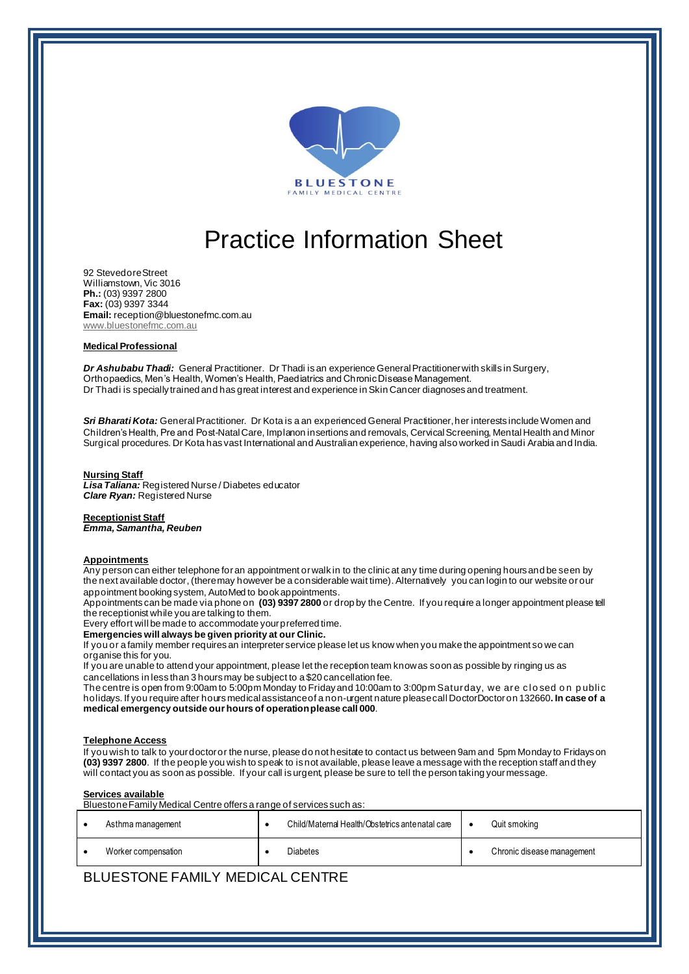

# Practice Information Sheet

92 Stevedore Street Williamstown, Vic 3016 **Ph.:** (03) 9397 2800 **Fax:** (03) 9397 3344 **Email:** reception@bluestonefmc.com.au www.bluestonefmc.com.au

### **Medical Professional**

*Dr Ashubabu Thadi:* General Practitioner. Dr Thadi is an experience General Practitioner with skills in Surgery, Orthopaedics, Men's Health, Women's Health, Paediatrics and Chronic Disease Management. Dr Thadi is specially trained and has great interest and experience in Skin Cancer diagnoses and treatment.

*Sri Bharati Kota:* General Practitioner. Dr Kota is a an experienced General Practitioner, her interests include Women and Children's Health, Pre and Post-Natal Care, Implanon insertions and removals, Cervical Screening, Mental Health and Minor Surgical procedures. Dr Kota has vast International and Australian experience, having also worked in Saudi Arabia and India.

#### **Nursing Staff**

*Lisa Taliana:* Registered Nurse / Diabetes educator *Clare Ryan:* Registered Nurse

**Receptionist Staff** *Emma, Samantha, Reuben*

## **Appointments**

Any person can either telephone for an appointment or walk in to the clinic at any time during opening hours and be seen by the next available doctor, (there may however be a considerable wait time). Alternatively you can login to our website orour appointment booking system, AutoMed to book appointments.

Appointments can be made via phone on **(03) 9397 2800** or drop by the Centre. If you require a longer appointment please tell the receptionist while you are talking to them.

Every effort will be made to accommodate your preferred time.

**Emergencies will always be given priority at our Clinic.**

If you or a family member requires an interpreter service please let us know when you make the appointment so we can organise this for you.

If you are unable to attend your appointment, please let the reception team know as soon as possible by ringing us as cancellations in less than 3 hours may be subject to a \$20 cancellation fee.

The centre is open from 9:00am to 5:00pm Monday to Friday and 10:00am to 3:00pm Saturday, we are closed on public holidays. If you require after hours medical assistance of a non-urgent nature please call DoctorDoctoron 132660**. In case of a medical emergency outside our hours of operation please call 000**.

#### **Telephone Access**

If you wish to talk to your doctor or the nurse, please do not hesitate to contact us between 9am and 5pm Monday to Fridays on **(03) 9397 2800**. If the people you wish to speak to is not available, please leave a message with the reception staff and they will contact you as soon as possible. If your call is urgent, please be sure to tell the person taking your message.

**Services available**

Bluestone Family Medical Centre offers a range of services such as:

| Asthma management   | Child/Maternal Health/Obstetrics antenatal care | Quit smoking               |
|---------------------|-------------------------------------------------|----------------------------|
| Worker compensation | <b>Diabetes</b>                                 | Chronic disease management |

# BLUESTONE FAMILY MEDICAL CENTRE